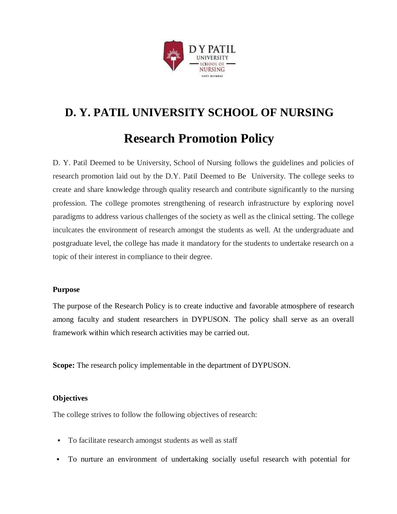

# **D. Y. PATIL UNIVERSITY SCHOOL OF NURSING Research Promotion Policy**

D. Y. Patil Deemed to be University, School of Nursing follows the guidelines and policies of research promotion laid out by the D.Y. Patil Deemed to Be University. The college seeks to create and share knowledge through quality research and contribute significantly to the nursing profession. The college promotes strengthening of research infrastructure by exploring novel paradigms to address various challenges of the society as well as the clinical setting. The college inculcates the environment of research amongst the students as well. At the undergraduate and postgraduate level, the college has made it mandatory for the students to undertake research on a topic of their interest in compliance to their degree.

## **Purpose**

The purpose of the Research Policy is to create inductive and favorable atmosphere of research among faculty and student researchers in DYPUSON. The policy shall serve as an overall framework within which research activities may be carried out.

**Scope:** The research policy implementable in the department of DYPUSON.

## **Objectives**

The college strives to follow the following objectives of research:

- To facilitate research amongst students as well as staff
- To nurture an environment of undertaking socially useful research with potential for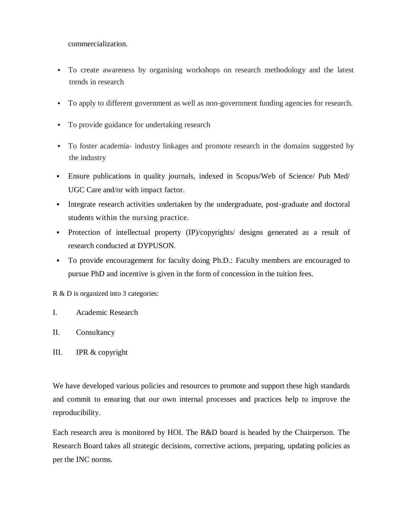commercialization.

- To create awareness by organising workshops on research methodology and the latest trends in research
- To apply to different government as well as non-government funding agencies for research.
- To provide guidance for undertaking research
- To foster academia- industry linkages and promote research in the domains suggested by the industry
- Ensure publications in quality journals, indexed in Scopus/Web of Science/ Pub Med/ UGC Care and/or with impact factor.
- Integrate research activities undertaken by the undergraduate, post-graduate and doctoral students within the nursing practice.
- Protection of intellectual property (IP)/copyrights/ designs generated as a result of research conducted at DYPUSON.
- To provide encouragement for faculty doing Ph.D.: Faculty members are encouraged to pursue PhD and incentive is given in the form of concession in the tuition fees.

R & D is organized into 3 categories:

- I. Academic Research
- II. Consultancy
- III. IPR & copyright

We have developed various policies and resources to promote and support these high standards and commit to ensuring that our own internal processes and practices help to improve the reproducibility.

Each research area is monitored by HOI. The R&D board is headed by the Chairperson. The Research Board takes all strategic decisions, corrective actions, preparing, updating policies as per the INC norms.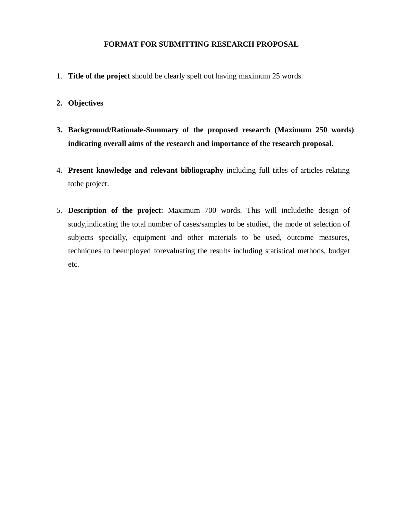#### **FORMAT FOR SUBMITTING RESEARCH PROPOSAL**

- 1. **Title of the project** should be clearly spelt out having maximum 25 words.
- **2. Objectives**
- **3. Background/Rationale-Summary of the proposed research (Maximum 250 words) indicating overall aims of the research and importance of the research proposal.**
- 4. **Present knowledge and relevant bibliography** including full titles of articles relating tothe project.
- 5. **Description of the project**: Maximum 700 words. This will includethe design of study,indicating the total number of cases/samples to be studied, the mode of selection of subjects specially, equipment and other materials to be used, outcome measures, techniques to beemployed forevaluating the results including statistical methods, budget etc.